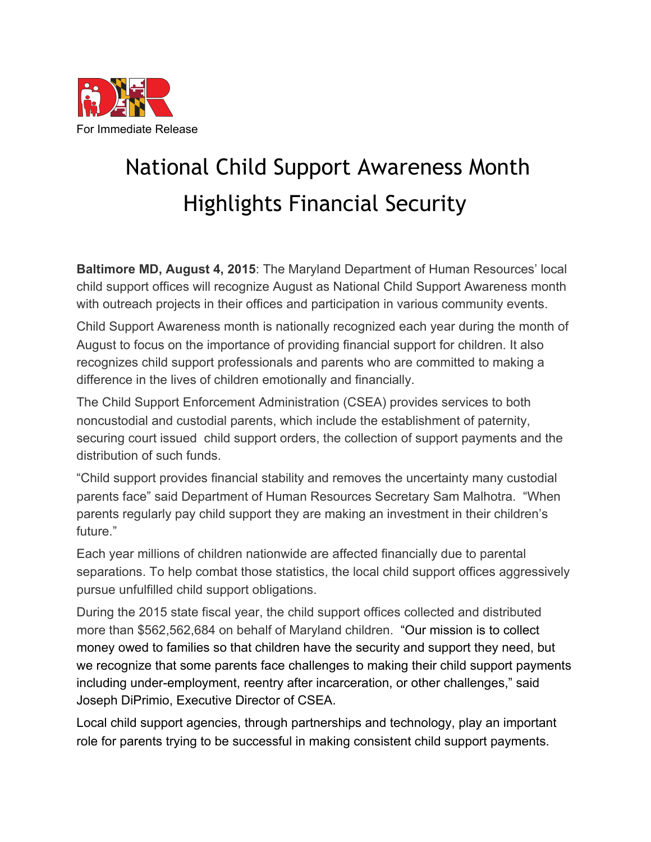

## National Child Support Awareness Month Highlights Financial Security

**Baltimore MD, August 4, 2015**: The Maryland Department of Human Resources' local child support offices will recognize August as National Child Support Awareness month with outreach projects in their offices and participation in various community events.

Child Support Awareness month is nationally recognized each year during the month of August to focus on the importance of providing financial support for children. It also recognizes child support professionals and parents who are committed to making a difference in the lives of children emotionally and financially.

The Child Support Enforcement Administration (CSEA) provides services to both noncustodial and custodial parents, which include the establishment of paternity, securing court issued child support orders, the collection of support payments and the distribution of such funds.

"Child support provides financial stability and removes the uncertainty many custodial parents face" said Department of Human Resources Secretary Sam Malhotra. "When parents regularly pay child support they are making an investment in their children's future."

Each year millions of children nationwide are affected financially due to parental separations. To help combat those statistics, the local child support offices aggressively pursue unfulfilled child support obligations.

During the 2015 state fiscal year, the child support offices collected and distributed more than \$562,562,684 on behalf of Maryland children. "Our mission is to collect money owed to families so that children have the security and support they need, but we recognize that some parents face challenges to making their child support payments including under-employment, reentry after incarceration, or other challenges," said Joseph DiPrimio, Executive Director of CSEA.

Local child support agencies, through partnerships and technology, play an important role for parents trying to be successful in making consistent child support payments.